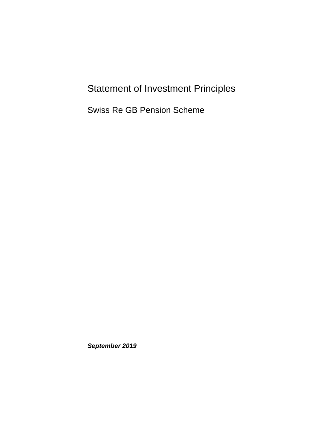## Statement of Investment Principles

Swiss Re GB Pension Scheme

*September 2019*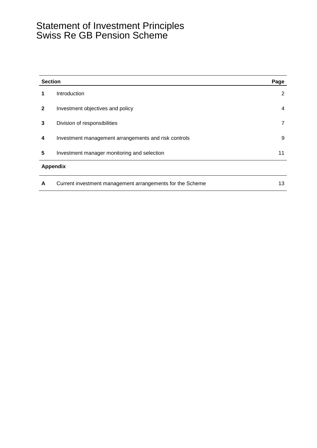### Statement of Investment Principles Swiss Re GB Pension Scheme

|                 | <b>Section</b>                                            |                |  |
|-----------------|-----------------------------------------------------------|----------------|--|
| 1               | Introduction                                              | 2              |  |
| $\mathbf{2}$    | Investment objectives and policy                          | 4              |  |
| 3               | Division of responsibilities                              | $\overline{7}$ |  |
| 4               | Investment management arrangements and risk controls      | 9              |  |
| 5               | Investment manager monitoring and selection               | 11             |  |
| <b>Appendix</b> |                                                           |                |  |
| A               | Current investment management arrangements for the Scheme | 13             |  |
|                 |                                                           |                |  |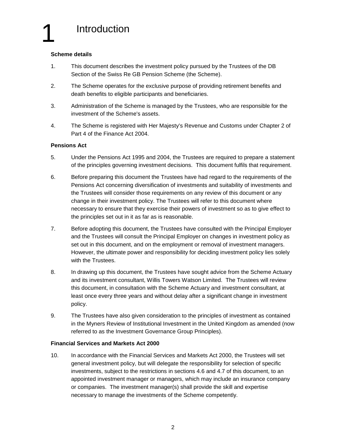#### **Scheme details**

- 1. This document describes the investment policy pursued by the Trustees of the DB Section of the Swiss Re GB Pension Scheme (the Scheme).
- 2. The Scheme operates for the exclusive purpose of providing retirement benefits and death benefits to eligible participants and beneficiaries.
- 3. Administration of the Scheme is managed by the Trustees, who are responsible for the investment of the Scheme's assets.
- 4. The Scheme is registered with Her Majesty's Revenue and Customs under Chapter 2 of Part 4 of the Finance Act 2004.

#### **Pensions Act**

- 5. Under the Pensions Act 1995 and 2004, the Trustees are required to prepare a statement of the principles governing investment decisions. This document fulfils that requirement.
- 6. Before preparing this document the Trustees have had regard to the requirements of the Pensions Act concerning diversification of investments and suitability of investments and the Trustees will consider those requirements on any review of this document or any change in their investment policy. The Trustees will refer to this document where necessary to ensure that they exercise their powers of investment so as to give effect to the principles set out in it as far as is reasonable.
- 7. Before adopting this document, the Trustees have consulted with the Principal Employer and the Trustees will consult the Principal Employer on changes in investment policy as set out in this document, and on the employment or removal of investment managers. However, the ultimate power and responsibility for deciding investment policy lies solely with the Trustees.
- 8. In drawing up this document, the Trustees have sought advice from the Scheme Actuary and its investment consultant, Willis Towers Watson Limited. The Trustees will review this document, in consultation with the Scheme Actuary and investment consultant, at least once every three years and without delay after a significant change in investment policy.
- 9. The Trustees have also given consideration to the principles of investment as contained in the Myners Review of Institutional Investment in the United Kingdom as amended (now referred to as the Investment Governance Group Principles).

#### **Financial Services and Markets Act 2000**

10. In accordance with the Financial Services and Markets Act 2000, the Trustees will set general investment policy, but will delegate the responsibility for selection of specific investments, subject to the restrictions in sections 4.6 and 4.7 of this document, to an appointed investment manager or managers, which may include an insurance company or companies. The investment manager(s) shall provide the skill and expertise necessary to manage the investments of the Scheme competently.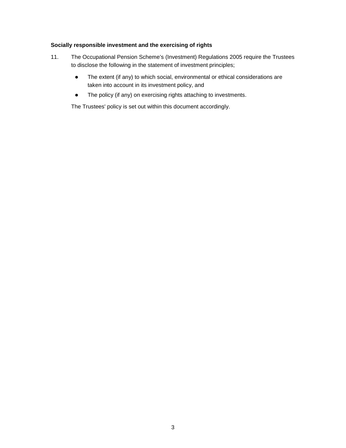#### **Socially responsible investment and the exercising of rights**

- 11. The Occupational Pension Scheme's (Investment) Regulations 2005 require the Trustees to disclose the following in the statement of investment principles;
	- The extent (if any) to which social, environmental or ethical considerations are taken into account in its investment policy, and
	- The policy (if any) on exercising rights attaching to investments.

The Trustees' policy is set out within this document accordingly.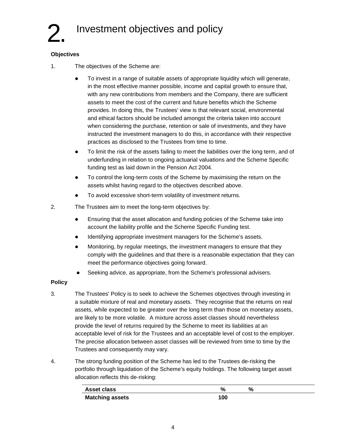## Investment objectives and policy

#### **Objectives**

- 1. The objectives of the Scheme are:
	- To invest in a range of suitable assets of appropriate liquidity which will generate, in the most effective manner possible, income and capital growth to ensure that, with any new contributions from members and the Company, there are sufficient assets to meet the cost of the current and future benefits which the Scheme provides. In doing this, the Trustees' view is that relevant social, environmental and ethical factors should be included amongst the criteria taken into account when considering the purchase, retention or sale of investments, and they have instructed the investment managers to do this, in accordance with their respective practices as disclosed to the Trustees from time to time.
	- To limit the risk of the assets failing to meet the liabilities over the long term, and of underfunding in relation to ongoing actuarial valuations and the Scheme Specific funding test as laid down in the Pension Act 2004.
	- To control the long-term costs of the Scheme by maximising the return on the assets whilst having regard to the objectives described above.
	- To avoid excessive short-term volatility of investment returns.
- 2. The Trustees aim to meet the long-term objectives by:
	- Ensuring that the asset allocation and funding policies of the Scheme take into account the liability profile and the Scheme Specific Funding test.
	- Identifying appropriate investment managers for the Scheme's assets.
	- Monitoring, by regular meetings, the investment managers to ensure that they comply with the guidelines and that there is a reasonable expectation that they can meet the performance objectives going forward.
	- Seeking advice, as appropriate, from the Scheme's professional advisers.

#### **Policy**

- 3. The Trustees' Policy is to seek to achieve the Schemes objectives through investing in a suitable mixture of real and monetary assets. They recognise that the returns on real assets, while expected to be greater over the long term than those on monetary assets, are likely to be more volatile. A mixture across asset classes should nevertheless provide the level of returns required by the Scheme to meet its liabilities at an acceptable level of risk for the Trustees and an acceptable level of cost to the employer. The precise allocation between asset classes will be reviewed from time to time by the Trustees and consequently may vary.
- 4. The strong funding position of the Scheme has led to the Trustees de-risking the portfolio through liquidation of the Scheme's equity holdings. The following target asset allocation reflects this de-risking:

| <b>Asset class</b>     | %   |  |  |
|------------------------|-----|--|--|
| <b>Matching assets</b> | 100 |  |  |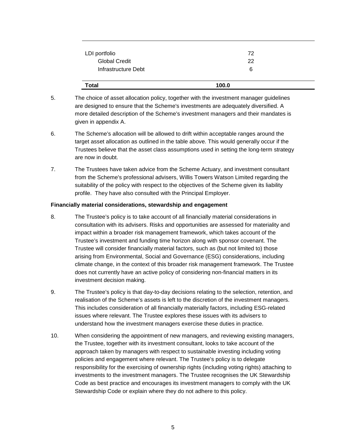| LDI portfolio        | 72    |
|----------------------|-------|
| <b>Global Credit</b> | 22    |
| Infrastructure Debt  | 6     |
| <b>Total</b>         | 100.0 |

- 5. The choice of asset allocation policy, together with the investment manager guidelines are designed to ensure that the Scheme's investments are adequately diversified. A more detailed description of the Scheme's investment managers and their mandates is given in appendix A.
- 6. The Scheme's allocation will be allowed to drift within acceptable ranges around the target asset allocation as outlined in the table above. This would generally occur if the Trustees believe that the asset class assumptions used in setting the long-term strategy are now in doubt.
- 7. The Trustees have taken advice from the Scheme Actuary, and investment consultant from the Scheme's professional advisers, Willis Towers Watson Limited regarding the suitability of the policy with respect to the objectives of the Scheme given its liability profile. They have also consulted with the Principal Employer.

#### **Financially material considerations, stewardship and engagement**

- 8. The Trustee's policy is to take account of all financially material considerations in consultation with its advisers. Risks and opportunities are assessed for materiality and impact within a broader risk management framework, which takes account of the Trustee's investment and funding time horizon along with sponsor covenant. The Trustee will consider financially material factors, such as (but not limited to) those arising from Environmental, Social and Governance (ESG) considerations, including climate change, in the context of this broader risk management framework. The Trustee does not currently have an active policy of considering non-financial matters in its investment decision making.
- 9. The Trustee's policy is that day-to-day decisions relating to the selection, retention, and realisation of the Scheme's assets is left to the discretion of the investment managers. This includes consideration of all financially materially factors, including ESG-related issues where relevant. The Trustee explores these issues with its advisers to understand how the investment managers exercise these duties in practice.
- 10. When considering the appointment of new managers, and reviewing existing managers, the Trustee, together with its investment consultant, looks to take account of the approach taken by managers with respect to sustainable investing including voting policies and engagement where relevant. The Trustee's policy is to delegate responsibility for the exercising of ownership rights (including voting rights) attaching to investments to the investment managers. The Trustee recognises the UK Stewardship Code as best practice and encourages its investment managers to comply with the UK Stewardship Code or explain where they do not adhere to this policy.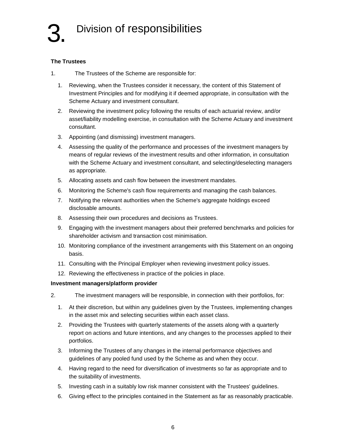#### **The Trustees**

- 1. The Trustees of the Scheme are responsible for:
	- 1. Reviewing, when the Trustees consider it necessary, the content of this Statement of Investment Principles and for modifying it if deemed appropriate, in consultation with the Scheme Actuary and investment consultant.
	- 2. Reviewing the investment policy following the results of each actuarial review, and/or asset/liability modelling exercise, in consultation with the Scheme Actuary and investment consultant.
	- 3. Appointing (and dismissing) investment managers.
	- 4. Assessing the quality of the performance and processes of the investment managers by means of regular reviews of the investment results and other information, in consultation with the Scheme Actuary and investment consultant, and selecting/deselecting managers as appropriate.
	- 5. Allocating assets and cash flow between the investment mandates.
	- 6. Monitoring the Scheme's cash flow requirements and managing the cash balances.
	- 7. Notifying the relevant authorities when the Scheme's aggregate holdings exceed disclosable amounts.
	- 8. Assessing their own procedures and decisions as Trustees.
	- 9. Engaging with the investment managers about their preferred benchmarks and policies for shareholder activism and transaction cost minimisation.
	- 10. Monitoring compliance of the investment arrangements with this Statement on an ongoing basis.
	- 11. Consulting with the Principal Employer when reviewing investment policy issues.
	- 12. Reviewing the effectiveness in practice of the policies in place.

#### **Investment managers/platform provider**

- 2. The investment managers will be responsible, in connection with their portfolios, for:
	- 1. At their discretion, but within any guidelines given by the Trustees, implementing changes in the asset mix and selecting securities within each asset class.
	- 2. Providing the Trustees with quarterly statements of the assets along with a quarterly report on actions and future intentions, and any changes to the processes applied to their portfolios.
	- 3. Informing the Trustees of any changes in the internal performance objectives and guidelines of any pooled fund used by the Scheme as and when they occur.
	- 4. Having regard to the need for diversification of investments so far as appropriate and to the suitability of investments.
	- 5. Investing cash in a suitably low risk manner consistent with the Trustees' guidelines.
	- 6. Giving effect to the principles contained in the Statement as far as reasonably practicable.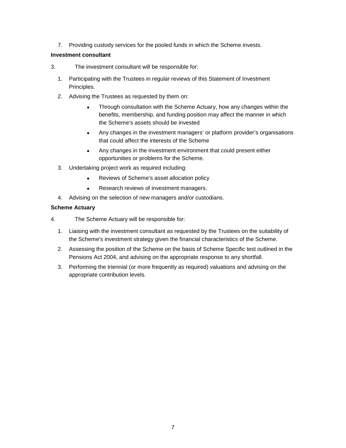7. Providing custody services for the pooled funds in which the Scheme invests.

#### **Investment consultant**

- 3. The investment consultant will be responsible for:
	- 1. Participating with the Trustees in regular reviews of this Statement of Investment Principles.
	- 2. Advising the Trustees as requested by them on:
		- Through consultation with the Scheme Actuary, how any changes within the benefits, membership, and funding position may affect the manner in which the Scheme's assets should be invested
		- Any changes in the investment managers' or platform provider's organisations that could affect the interests of the Scheme
		- Any changes in the investment environment that could present either opportunities or problems for the Scheme.
	- 3. Undertaking project work as required including:
		- Reviews of Scheme's asset allocation policy
		- Research reviews of investment managers.
	- 4. Advising on the selection of new managers and/or custodians.

#### **Scheme Actuary**

- 4. The Scheme Actuary will be responsible for:
	- 1. Liaising with the investment consultant as requested by the Trustees on the suitability of the Scheme's investment strategy given the financial characteristics of the Scheme.
	- 2. Assessing the position of the Scheme on the basis of Scheme Specific test outlined in the Pensions Act 2004, and advising on the appropriate response to any shortfall.
	- 3. Performing the triennial (or more frequently as required) valuations and advising on the appropriate contribution levels.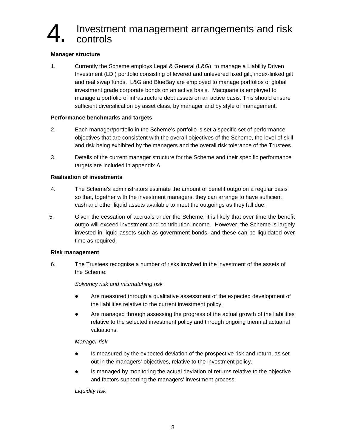## 4. Investment management arrangements and risk controls

#### **Manager structure**

1. Currently the Scheme employs Legal & General (L&G) to manage a Liability Driven Investment (LDI) portfolio consisting of levered and unlevered fixed gilt, index-linked gilt and real swap funds. L&G and BlueBay are employed to manage portfolios of global investment grade corporate bonds on an active basis. Macquarie is employed to manage a portfolio of infrastructure debt assets on an active basis. This should ensure sufficient diversification by asset class, by manager and by style of management.

#### **Performance benchmarks and targets**

- 2. Each manager/portfolio in the Scheme's portfolio is set a specific set of performance objectives that are consistent with the overall objectives of the Scheme, the level of skill and risk being exhibited by the managers and the overall risk tolerance of the Trustees.
- 3. Details of the current manager structure for the Scheme and their specific performance targets are included in appendix A.

#### **Realisation of investments**

- 4. The Scheme's administrators estimate the amount of benefit outgo on a regular basis so that, together with the investment managers, they can arrange to have sufficient cash and other liquid assets available to meet the outgoings as they fall due.
- 5. Given the cessation of accruals under the Scheme, it is likely that over time the benefit outgo will exceed investment and contribution income. However, the Scheme is largely invested in liquid assets such as government bonds, and these can be liquidated over time as required.

#### **Risk management**

6. The Trustees recognise a number of risks involved in the investment of the assets of the Scheme:

#### *Solvency risk and mismatching risk*

- Are measured through a qualitative assessment of the expected development of the liabilities relative to the current investment policy.
- Are managed through assessing the progress of the actual growth of the liabilities relative to the selected investment policy and through ongoing triennial actuarial valuations.

#### *Manager risk*

- Is measured by the expected deviation of the prospective risk and return, as set out in the managers' objectives, relative to the investment policy.
- Is managed by monitoring the actual deviation of returns relative to the objective and factors supporting the managers' investment process.

#### *Liquidity risk*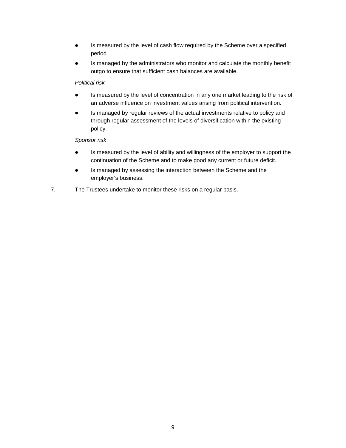- Is measured by the level of cash flow required by the Scheme over a specified period.
- Is managed by the administrators who monitor and calculate the monthly benefit outgo to ensure that sufficient cash balances are available.

#### *Political risk*

- Is measured by the level of concentration in any one market leading to the risk of an adverse influence on investment values arising from political intervention.
- Is managed by regular reviews of the actual investments relative to policy and through regular assessment of the levels of diversification within the existing policy.

#### *Sponsor risk*

- Is measured by the level of ability and willingness of the employer to support the continuation of the Scheme and to make good any current or future deficit.
- Is managed by assessing the interaction between the Scheme and the employer's business.
- 7. The Trustees undertake to monitor these risks on a regular basis.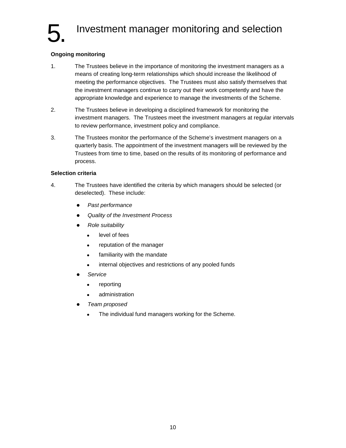## Investment manager monitoring and selection

#### **Ongoing monitoring**

- 1. The Trustees believe in the importance of monitoring the investment managers as a means of creating long-term relationships which should increase the likelihood of meeting the performance objectives. The Trustees must also satisfy themselves that the investment managers continue to carry out their work competently and have the appropriate knowledge and experience to manage the investments of the Scheme.
- 2. The Trustees believe in developing a disciplined framework for monitoring the investment managers. The Trustees meet the investment managers at regular intervals to review performance, investment policy and compliance.
- 3. The Trustees monitor the performance of the Scheme's investment managers on a quarterly basis. The appointment of the investment managers will be reviewed by the Trustees from time to time, based on the results of its monitoring of performance and process.

#### **Selection criteria**

- 4. The Trustees have identified the criteria by which managers should be selected (or deselected). These include:
	- *Past performance*
	- *Quality of the Investment Process*
	- *Role suitability*
		- level of fees
		- reputation of the manager
		- familiarity with the mandate
		- internal objectives and restrictions of any pooled funds
	- *Service*
		- reporting
		- administration
	- *Team proposed*
		- The individual fund managers working for the Scheme.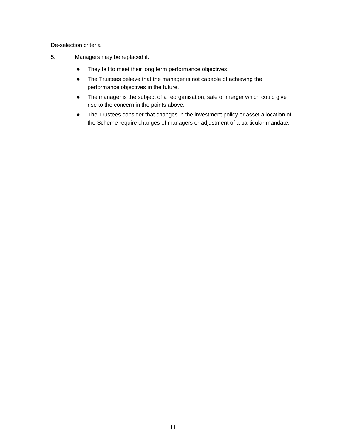De-selection criteria

- 5. Managers may be replaced if:
	- They fail to meet their long term performance objectives.
	- The Trustees believe that the manager is not capable of achieving the performance objectives in the future.
	- The manager is the subject of a reorganisation, sale or merger which could give rise to the concern in the points above.
	- The Trustees consider that changes in the investment policy or asset allocation of the Scheme require changes of managers or adjustment of a particular mandate.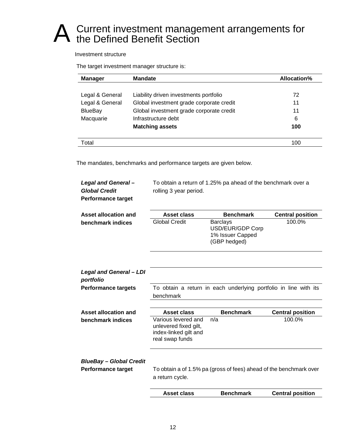# A Current investment management arrangements for<br>
A the Defined Benefit Section

Investment structure

The target investment manager structure is:

| <b>Manager</b>  | <b>Mandate</b>                           | Allocation% |
|-----------------|------------------------------------------|-------------|
|                 |                                          |             |
| Legal & General | Liability driven investments portfolio   | 72          |
| Legal & General | Global investment grade corporate credit | 11          |
| <b>BlueBay</b>  | Global investment grade corporate credit | 11          |
| Macquarie       | Infrastructure debt                      | 6           |
|                 | <b>Matching assets</b>                   | 100         |
|                 |                                          |             |
| Total           |                                          | 100         |

The mandates, benchmarks and performance targets are given below.

| Legal and General-<br><b>Global Credit</b><br><b>Performance target</b> | rolling 3 year period.                                                                   | To obtain a return of 1.25% pa ahead of the benchmark over a            |                         |
|-------------------------------------------------------------------------|------------------------------------------------------------------------------------------|-------------------------------------------------------------------------|-------------------------|
| Asset allocation and                                                    | Asset class                                                                              | <b>Benchmark</b>                                                        | <b>Central position</b> |
| benchmark indices                                                       | <b>Global Credit</b>                                                                     | <b>Barclays</b><br>USD/EUR/GDP Corp<br>1% Issuer Capped<br>(GBP hedged) | 100.0%                  |
| <b>Legal and General - LDI</b><br>portfolio                             |                                                                                          |                                                                         |                         |
| <b>Performance targets</b>                                              | benchmark                                                                                | To obtain a return in each underlying portfolio in line with its        |                         |
| Asset allocation and                                                    | Asset class                                                                              | <b>Benchmark</b>                                                        | <b>Central position</b> |
| benchmark indices                                                       | Various levered and<br>unlevered fixed gilt,<br>index-linked gilt and<br>real swap funds | n/a                                                                     | 100.0%                  |
| <b>BlueBay - Global Credit</b>                                          |                                                                                          |                                                                         |                         |
| <b>Performance target</b>                                               | To obtain a of 1.5% pa (gross of fees) ahead of the benchmark over<br>a return cycle.    |                                                                         |                         |
|                                                                         | <b>Asset class</b>                                                                       | <b>Benchmark</b>                                                        | <b>Central position</b> |